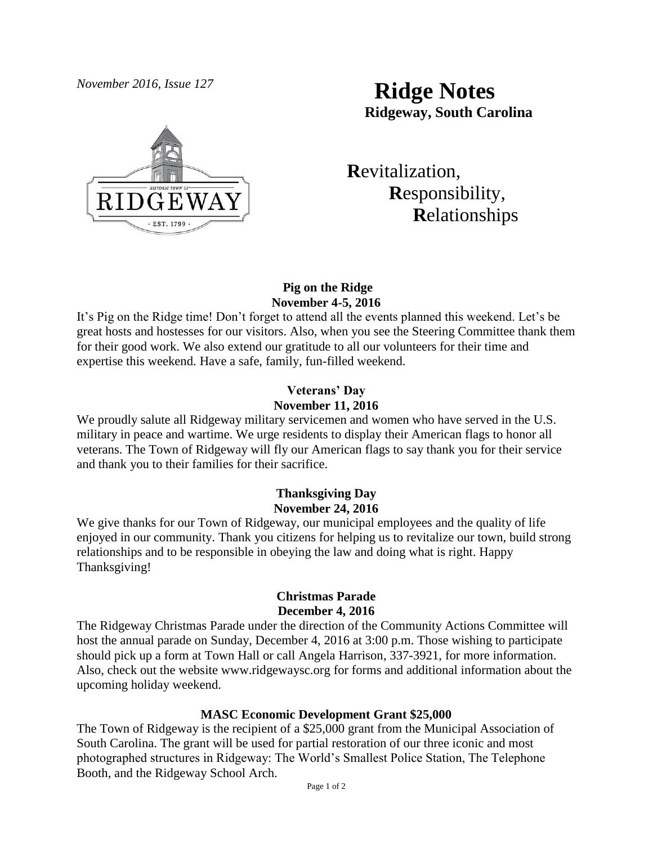

# *November 2016, Issue 127* **Ridge Notes Ridgeway, South Carolina**

 **R**evitalization,  **R**esponsibility,  **R**elationships

## **Pig on the Ridge November 4-5, 2016**

It's Pig on the Ridge time! Don't forget to attend all the events planned this weekend. Let's be great hosts and hostesses for our visitors. Also, when you see the Steering Committee thank them for their good work. We also extend our gratitude to all our volunteers for their time and expertise this weekend. Have a safe, family, fun-filled weekend.

## **Veterans' Day November 11, 2016**

We proudly salute all Ridgeway military servicemen and women who have served in the U.S. military in peace and wartime. We urge residents to display their American flags to honor all veterans. The Town of Ridgeway will fly our American flags to say thank you for their service and thank you to their families for their sacrifice.

# **Thanksgiving Day November 24, 2016**

We give thanks for our Town of Ridgeway, our municipal employees and the quality of life enjoyed in our community. Thank you citizens for helping us to revitalize our town, build strong relationships and to be responsible in obeying the law and doing what is right. Happy Thanksgiving!

#### **Christmas Parade December 4, 2016**

The Ridgeway Christmas Parade under the direction of the Community Actions Committee will host the annual parade on Sunday, December 4, 2016 at 3:00 p.m. Those wishing to participate should pick up a form at Town Hall or call Angela Harrison, 337-3921, for more information. Also, check out the website [www.ridgewaysc.org](http://www.ridgewaysc.org/) for forms and additional information about the upcoming holiday weekend.

#### **MASC Economic Development Grant \$25,000**

The Town of Ridgeway is the recipient of a \$25,000 grant from the Municipal Association of South Carolina. The grant will be used for partial restoration of our three iconic and most photographed structures in Ridgeway: The World's Smallest Police Station, The Telephone Booth, and the Ridgeway School Arch.